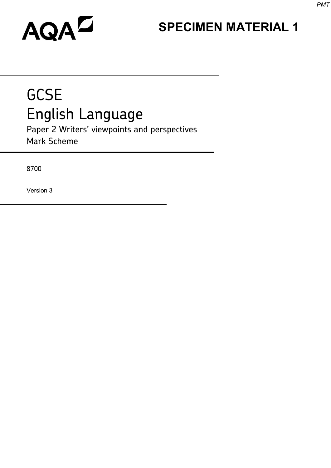# **SPECIMEN MATERIAL 1**

# AQAZ

# **GCSE** English Language

Paper 2 Writers' viewpoints and perspectives Mark Scheme

8700

Version 3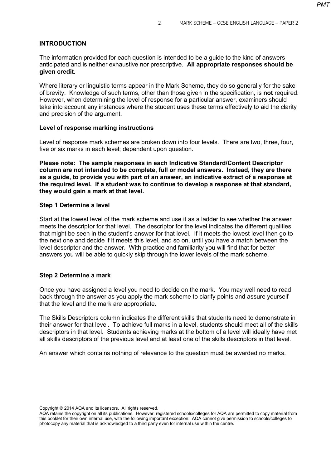#### **INTRODUCTION**

The information provided for each question is intended to be a guide to the kind of answers anticipated and is neither exhaustive nor prescriptive. **All appropriate responses should be given credit.**

Where literary or linguistic terms appear in the Mark Scheme, they do so generally for the sake of brevity. Knowledge of such terms, other than those given in the specification, is **not** required. However, when determining the level of response for a particular answer, examiners should take into account any instances where the student uses these terms effectively to aid the clarity and precision of the argument.

#### **Level of response marking instructions**

Level of response mark schemes are broken down into four levels. There are two, three, four, five or six marks in each level; dependent upon question.

**Please note: The sample responses in each Indicative Standard/Content Descriptor column are not intended to be complete, full or model answers. Instead, they are there as a guide, to provide you with part of an answer, an indicative extract of a response at the required level. If a student was to continue to develop a response at that standard, they would gain a mark at that level.** 

#### **Step 1 Determine a level**

Start at the lowest level of the mark scheme and use it as a ladder to see whether the answer meets the descriptor for that level. The descriptor for the level indicates the different qualities that might be seen in the student's answer for that level. If it meets the lowest level then go to the next one and decide if it meets this level, and so on, until you have a match between the level descriptor and the answer. With practice and familiarity you will find that for better answers you will be able to quickly skip through the lower levels of the mark scheme.

#### **Step 2 Determine a mark**

Once you have assigned a level you need to decide on the mark. You may well need to read back through the answer as you apply the mark scheme to clarify points and assure yourself that the level and the mark are appropriate.

The Skills Descriptors column indicates the different skills that students need to demonstrate in their answer for that level. To achieve full marks in a level, students should meet all of the skills descriptors in that level. Students achieving marks at the bottom of a level will ideally have met all skills descriptors of the previous level and at least one of the skills descriptors in that level.

An answer which contains nothing of relevance to the question must be awarded no marks.

Copyright © 2014 AQA and its licensors. All rights reserved.

AQA retains the copyright on all its publications. However, registered schools/colleges for AQA are permitted to copy material from this booklet for their own internal use, with the following important exception: AQA cannot give permission to schools/colleges to photocopy any material that is acknowledged to a third party even for internal use within the centre.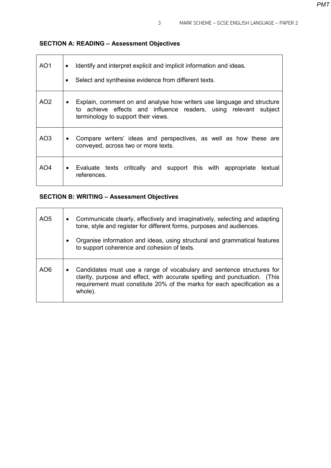# **SECTION A: READING – Assessment Objectives**

| AO1             | Identify and interpret explicit and implicit information and ideas.<br>$\bullet$<br>Select and synthesise evidence from different texts.                                                       |  |  |  |
|-----------------|------------------------------------------------------------------------------------------------------------------------------------------------------------------------------------------------|--|--|--|
| AO <sub>2</sub> | Explain, comment on and analyse how writers use language and structure<br>$\bullet$<br>to achieve effects and influence readers, using relevant subject<br>terminology to support their views. |  |  |  |
| AO3             | Compare writers' ideas and perspectives, as well as how these are<br>$\bullet$<br>conveyed, across two or more texts.                                                                          |  |  |  |
| AO4             | Evaluate texts critically and support this with appropriate<br>textual<br>$\bullet$<br>references.                                                                                             |  |  |  |

# **SECTION B: WRITING – Assessment Objectives**

| AO <sub>5</sub> | Communicate clearly, effectively and imaginatively, selecting and adapting<br>$\bullet$<br>tone, style and register for different forms, purposes and audiences.                                                                                |  |
|-----------------|-------------------------------------------------------------------------------------------------------------------------------------------------------------------------------------------------------------------------------------------------|--|
|                 | Organise information and ideas, using structural and grammatical features<br>$\bullet$<br>to support coherence and cohesion of texts.                                                                                                           |  |
| AO <sub>6</sub> | Candidates must use a range of vocabulary and sentence structures for<br>٠<br>clarity, purpose and effect, with accurate spelling and punctuation. (This<br>requirement must constitute 20% of the marks for each specification as a<br>whole). |  |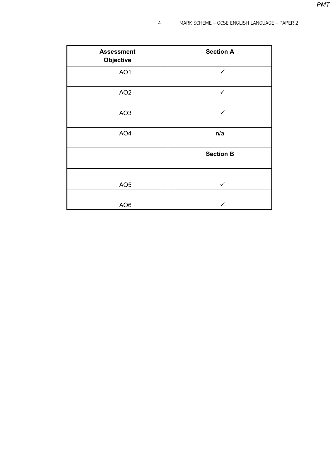| <b>Assessment</b><br>Objective | <b>Section A</b> |
|--------------------------------|------------------|
| AO1                            | $\checkmark$     |
| AO <sub>2</sub>                | $\checkmark$     |
| AO <sub>3</sub>                | $\checkmark$     |
| AO <sub>4</sub>                | n/a              |
|                                | <b>Section B</b> |
| AO <sub>5</sub>                | $\checkmark$     |
| AO <sub>6</sub>                | ✓                |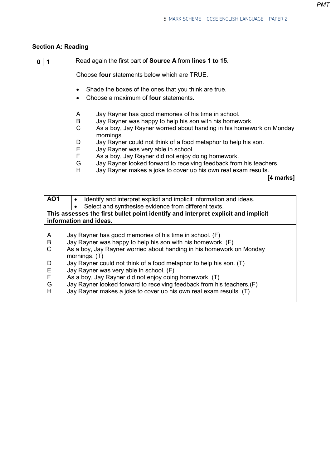### **Section A: Reading**

```
0 1
```
Read again the first part of **Source A** from **lines 1 to 15**.

Choose **four** statements below which are TRUE.

- Shade the boxes of the ones that you think are true.
- Choose a maximum of **four** statements.
- A Jay Rayner has good memories of his time in school.<br>B Jay Rayner was happy to help his son with his homew
- Jay Rayner was happy to help his son with his homework.
- C As a boy, Jay Rayner worried about handing in his homework on Monday mornings.
- D Jay Rayner could not think of a food metaphor to help his son.<br>E Jay Rayner was very able in school.
- E Jay Rayner was very able in school.<br>F As a boy Jay Rayner did not enjoy o
- F As a boy, Jay Rayner did not enjoy doing homework.<br>G Jay Rayner looked forward to receiving feedback from
- Jay Rayner looked forward to receiving feedback from his teachers.
- H Jay Rayner makes a joke to cover up his own real exam results.

 **[4 marks]** 

| <b>AO1</b>            | Identify and interpret explicit and implicit information and ideas.<br>٠                                                                                                                                                                                                                                               |  |  |  |  |
|-----------------------|------------------------------------------------------------------------------------------------------------------------------------------------------------------------------------------------------------------------------------------------------------------------------------------------------------------------|--|--|--|--|
|                       | Select and synthesise evidence from different texts.<br>$\bullet$                                                                                                                                                                                                                                                      |  |  |  |  |
|                       | This assesses the first bullet point identify and interpret explicit and implicit<br>information and ideas.                                                                                                                                                                                                            |  |  |  |  |
| A<br>B                | Jay Rayner has good memories of his time in school. (F)<br>Jay Rayner was happy to help his son with his homework. (F)                                                                                                                                                                                                 |  |  |  |  |
| C                     | As a boy, Jay Rayner worried about handing in his homework on Monday<br>mornings. $(T)$                                                                                                                                                                                                                                |  |  |  |  |
| D<br>Ε<br>F<br>G<br>н | Jay Rayner could not think of a food metaphor to help his son. (T)<br>Jay Rayner was very able in school. (F)<br>As a boy, Jay Rayner did not enjoy doing homework. (T)<br>Jay Rayner looked forward to receiving feedback from his teachers.(F)<br>Jay Rayner makes a joke to cover up his own real exam results. (T) |  |  |  |  |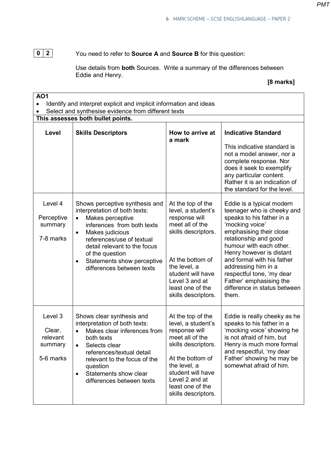# **0 2**

You need to refer to **Source A** and **Source B** for this question:

Use details from **both** Sources. Write a summary of the differences between Eddie and Henry.

**[8 marks]** 

٦

| <b>AO1</b><br>Identify and interpret explicit and implicit information and ideas<br>$\bullet$ |                                                                                                                                                                                                                                                                                                                        |                                                                                                                                                                                                                          |                                                                                                                                                                                                                                                                                                                                                                          |  |  |  |
|-----------------------------------------------------------------------------------------------|------------------------------------------------------------------------------------------------------------------------------------------------------------------------------------------------------------------------------------------------------------------------------------------------------------------------|--------------------------------------------------------------------------------------------------------------------------------------------------------------------------------------------------------------------------|--------------------------------------------------------------------------------------------------------------------------------------------------------------------------------------------------------------------------------------------------------------------------------------------------------------------------------------------------------------------------|--|--|--|
|                                                                                               | Select and synthesise evidence from different texts<br>This assesses both bullet points.                                                                                                                                                                                                                               |                                                                                                                                                                                                                          |                                                                                                                                                                                                                                                                                                                                                                          |  |  |  |
| Level                                                                                         | <b>Skills Descriptors</b>                                                                                                                                                                                                                                                                                              | How to arrive at<br>a mark                                                                                                                                                                                               | <b>Indicative Standard</b><br>This indicative standard is<br>not a model answer, nor a<br>complete response. Nor<br>does it seek to exemplify<br>any particular content.<br>Rather it is an indication of<br>the standard for the level.                                                                                                                                 |  |  |  |
| Level 4<br>Perceptive<br>summary<br>7-8 marks                                                 | Shows perceptive synthesis and<br>interpretation of both texts:<br>Makes perceptive<br>$\bullet$<br>inferences from both texts<br>Makes judicious<br>$\bullet$<br>references/use of textual<br>detail relevant to the focus<br>of the question<br>Statements show perceptive<br>$\bullet$<br>differences between texts | At the top of the<br>level, a student's<br>response will<br>meet all of the<br>skills descriptors.<br>At the bottom of<br>the level, a<br>student will have<br>Level 3 and at<br>least one of the<br>skills descriptors. | Eddie is a typical modern<br>teenager who is cheeky and<br>speaks to his father in a<br>'mocking voice'<br>emphasising their close<br>relationship and good<br>humour with each other.<br>Henry however is distant<br>and formal with his father<br>addressing him in a<br>respectful tone, 'my dear<br>Father' emphasising the<br>difference in status between<br>them. |  |  |  |
| Level 3<br>Clear,<br>relevant<br>summary<br>5-6 marks                                         | Shows clear synthesis and<br>interpretation of both texts:<br>Makes clear inferences from<br>both texts<br>Selects clear<br>$\bullet$<br>references/textual detail<br>relevant to the focus of the<br>question<br>Statements show clear<br>$\bullet$<br>differences between texts                                      | At the top of the<br>level, a student's<br>response will<br>meet all of the<br>skills descriptors.<br>At the bottom of<br>the level, a<br>student will have<br>Level 2 and at<br>least one of the<br>skills descriptors. | Eddie is really cheeky as he<br>speaks to his father in a<br>'mocking voice' showing he<br>is not afraid of him, but<br>Henry is much more formal<br>and respectful, 'my dear<br>Father' showing he may be<br>somewhat afraid of him.                                                                                                                                    |  |  |  |

*PMT*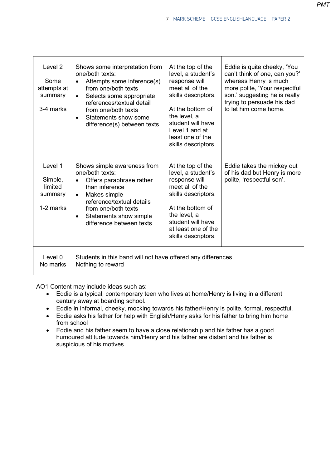| Level 2<br>Some<br>attempts at<br>summary<br>3-4 marks | Shows some interpretation from<br>one/both texts:<br>Attempts some inference(s)<br>$\bullet$<br>from one/both texts<br>Selects some appropriate<br>$\bullet$<br>references/textual detail<br>from one/both texts                                              | At the top of the<br>level, a student's<br>response will<br>meet all of the<br>skills descriptors.<br>At the bottom of                                                                                    | Eddie is quite cheeky, 'You<br>can't think of one, can you?'<br>whereas Henry is much<br>more polite, 'Your respectful<br>son.' suggesting he is really<br>trying to persuade his dad<br>to let him come home. |
|--------------------------------------------------------|---------------------------------------------------------------------------------------------------------------------------------------------------------------------------------------------------------------------------------------------------------------|-----------------------------------------------------------------------------------------------------------------------------------------------------------------------------------------------------------|----------------------------------------------------------------------------------------------------------------------------------------------------------------------------------------------------------------|
|                                                        | Statements show some<br>$\bullet$<br>difference(s) between texts                                                                                                                                                                                              | the level, a<br>student will have<br>Level 1 and at<br>least one of the<br>skills descriptors.                                                                                                            |                                                                                                                                                                                                                |
| Level 1<br>Simple,<br>limited<br>summary<br>1-2 marks  | Shows simple awareness from<br>one/both texts:<br>Offers paraphrase rather<br>$\bullet$<br>than inference<br>Makes simple<br>$\bullet$<br>reference/textual details<br>from one/both texts<br>Statements show simple<br>$\bullet$<br>difference between texts | At the top of the<br>level, a student's<br>response will<br>meet all of the<br>skills descriptors.<br>At the bottom of<br>the level, a<br>student will have<br>at least one of the<br>skills descriptors. | Eddie takes the mickey out<br>of his dad but Henry is more<br>polite, 'respectful son'.                                                                                                                        |
| Level 0<br>No marks                                    | Students in this band will not have offered any differences<br>Nothing to reward                                                                                                                                                                              |                                                                                                                                                                                                           |                                                                                                                                                                                                                |

AO1 Content may include ideas such as:<br>• Eddie is a typical. contemporary to

- Eddie is a typical, contemporary teen who lives at home/Henry is living in a different century away at boarding school.
- Eddie in informal, cheeky, mocking towards his father/Henry is polite, formal, respectful.
- Eddie asks his father for help with English/Henry asks for his father to bring him home from school
- Eddie and his father seem to have a close relationship and his father has a good humoured attitude towards him/Henry and his father are distant and his father is suspicious of his motives.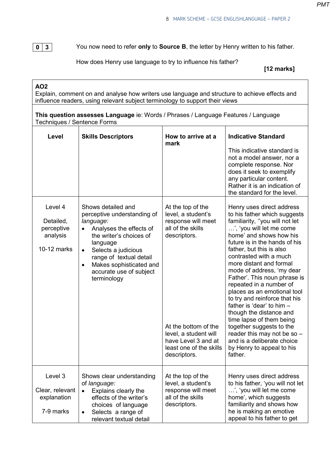**0 3**

You now need to refer **only** to **Source B**, the letter by Henry written to his father.

How does Henry use language to try to influence his father?

 **[12 marks]** 

**AO2**

Explain, comment on and analyse how writers use language and structure to achieve effects and influence readers, using relevant subject terminology to support their views

| Techniques / Sentence Forms                                   | This question assesses Language ie: Words / Phrases / Language Features / Language                                                                                                                                                                                                |                                                                                                                                                                                                                       |                                                                                                                                                                                                                                                                                                                                                                                                                                                                                                                                                                                                                                                   |
|---------------------------------------------------------------|-----------------------------------------------------------------------------------------------------------------------------------------------------------------------------------------------------------------------------------------------------------------------------------|-----------------------------------------------------------------------------------------------------------------------------------------------------------------------------------------------------------------------|---------------------------------------------------------------------------------------------------------------------------------------------------------------------------------------------------------------------------------------------------------------------------------------------------------------------------------------------------------------------------------------------------------------------------------------------------------------------------------------------------------------------------------------------------------------------------------------------------------------------------------------------------|
| Level                                                         | <b>Skills Descriptors</b>                                                                                                                                                                                                                                                         | How to arrive at a<br>mark                                                                                                                                                                                            | <b>Indicative Standard</b><br>This indicative standard is<br>not a model answer, nor a<br>complete response. Nor<br>does it seek to exemplify<br>any particular content.<br>Rather it is an indication of<br>the standard for the level.                                                                                                                                                                                                                                                                                                                                                                                                          |
| Level 4<br>Detailed,<br>perceptive<br>analysis<br>10-12 marks | Shows detailed and<br>perceptive understanding of<br>language:<br>Analyses the effects of<br>the writer's choices of<br>language<br>Selects a judicious<br>$\bullet$<br>range of textual detail<br>Makes sophisticated and<br>$\bullet$<br>accurate use of subject<br>terminology | At the top of the<br>level, a student's<br>response will meet<br>all of the skills<br>descriptors.<br>At the bottom of the<br>level, a student will<br>have Level 3 and at<br>least one of the skills<br>descriptors. | Henry uses direct address<br>to his father which suggests<br>familiarity, "you will not let<br>', 'you will let me come<br>home' and shows how his<br>future is in the hands of his<br>father, but this is also<br>contrasted with a much<br>more distant and formal<br>mode of address, 'my dear<br>Father'. This noun phrase is<br>repeated in a number of<br>places as an emotional tool<br>to try and reinforce that his<br>father is 'dear' to him -<br>though the distance and<br>time lapse of them being<br>together suggests to the<br>reader this may not be so -<br>and is a deliberate choice<br>by Henry to appeal to his<br>father. |
| Level 3<br>Clear, relevant<br>explanation<br>7-9 marks        | Shows clear understanding<br>of language:<br>Explains clearly the<br>$\bullet$<br>effects of the writer's<br>choices of language<br>Selects a range of<br>relevant textual detail                                                                                                 | At the top of the<br>level, a student's<br>response will meet<br>all of the skills<br>descriptors.                                                                                                                    | Henry uses direct address<br>to his father, 'you will not let<br>', 'you will let me come<br>home', which suggests<br>familiarity and shows how<br>he is making an emotive<br>appeal to his father to get                                                                                                                                                                                                                                                                                                                                                                                                                                         |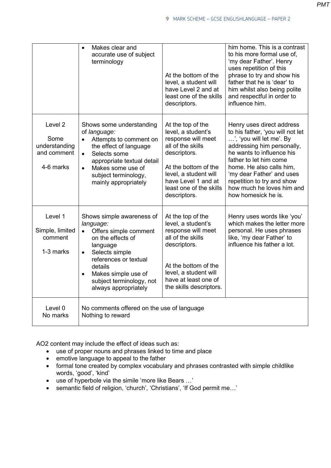|                                                                         | Makes clear and<br>accurate use of subject<br>terminology                                                                                                                                                                                              | At the bottom of the<br>level, a student will<br>have Level 2 and at<br>least one of the skills<br>descriptors.                                                                                                       | him home. This is a contrast<br>to his more formal use of,<br>'my dear Father'. Henry<br>uses repetition of this<br>phrase to try and show his<br>father that he is 'dear' to<br>him whilst also being polite<br>and respectful in order to<br>influence him.                                                             |
|-------------------------------------------------------------------------|--------------------------------------------------------------------------------------------------------------------------------------------------------------------------------------------------------------------------------------------------------|-----------------------------------------------------------------------------------------------------------------------------------------------------------------------------------------------------------------------|---------------------------------------------------------------------------------------------------------------------------------------------------------------------------------------------------------------------------------------------------------------------------------------------------------------------------|
| Level <sub>2</sub><br>Some<br>understanding<br>and comment<br>4-6 marks | Shows some understanding<br>of language:<br>Attempts to comment on<br>$\bullet$<br>the effect of language<br>Selects some<br>$\bullet$<br>appropriate textual detail<br>Makes some use of<br>$\bullet$<br>subject terminology,<br>mainly appropriately | At the top of the<br>level, a student's<br>response will meet<br>all of the skills<br>descriptors.<br>At the bottom of the<br>level, a student will<br>have Level 1 and at<br>least one of the skills<br>descriptors. | Henry uses direct address<br>to his father, 'you will not let<br>', 'you will let me'. By<br>addressing him personally,<br>he wants to influence his<br>father to let him come<br>home. He also calls him,<br>'my dear Father' and uses<br>repetition to try and show<br>how much he loves him and<br>how homesick he is. |
| Level 1<br>Simple, limited<br>comment<br>1-3 marks                      | Shows simple awareness of<br>language:<br>Offers simple comment<br>on the effects of<br>language<br>Selects simple<br>$\bullet$<br>references or textual<br>details<br>Makes simple use of<br>subject terminology, not<br>always appropriately         | At the top of the<br>level, a student's<br>response will meet<br>all of the skills<br>descriptors.<br>At the bottom of the<br>level, a student will<br>have at least one of<br>the skills descriptors.                | Henry uses words like 'you'<br>which makes the letter more<br>personal. He uses phrases<br>like, 'my dear Father' to<br>influence his father a lot.                                                                                                                                                                       |
| Level 0<br>No marks                                                     | No comments offered on the use of language<br>Nothing to reward                                                                                                                                                                                        |                                                                                                                                                                                                                       |                                                                                                                                                                                                                                                                                                                           |

AO2 content may include the effect of ideas such as:

- use of proper nouns and phrases linked to time and place
- emotive language to appeal to the father
- formal tone created by complex vocabulary and phrases contrasted with simple childlike words, 'good', 'kind'
- use of hyperbole via the simile 'more like Bears …'
- semantic field of religion, 'church', 'Christians', 'If God permit me…'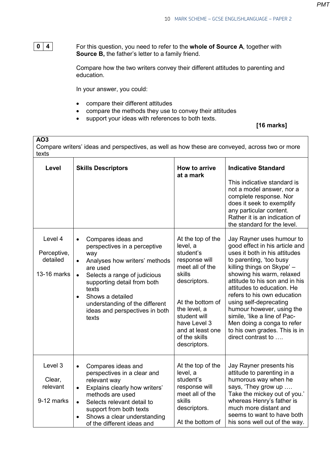**0 4**

**AO3**

For this question, you need to refer to the **whole of Source A**, together with **Source B,** the father's letter to a family friend.

Compare how the two writers convey their different attitudes to parenting and education.

In your answer, you could:

- compare their different attitudes
- compare the methods they use to convey their attitudes
- support your ideas with references to both texts.

**[16 marks]** 

Compare writers' ideas and perspectives, as well as how these are conveyed, across two or more texts

| Level                                             | <b>Skills Descriptors</b>                                                                                                                                                                                                                                                                                                           | How to arrive<br>at a mark                                                                                                                                                                                                        | <b>Indicative Standard</b><br>This indicative standard is<br>not a model answer, nor a<br>complete response. Nor<br>does it seek to exemplify<br>any particular content.<br>Rather it is an indication of<br>the standard for the level.                                                                                                                                                                                                                      |
|---------------------------------------------------|-------------------------------------------------------------------------------------------------------------------------------------------------------------------------------------------------------------------------------------------------------------------------------------------------------------------------------------|-----------------------------------------------------------------------------------------------------------------------------------------------------------------------------------------------------------------------------------|---------------------------------------------------------------------------------------------------------------------------------------------------------------------------------------------------------------------------------------------------------------------------------------------------------------------------------------------------------------------------------------------------------------------------------------------------------------|
| Level 4<br>Perceptive,<br>detailed<br>13-16 marks | Compares ideas and<br>$\bullet$<br>perspectives in a perceptive<br>way<br>Analyses how writers' methods<br>$\bullet$<br>are used<br>$\bullet$<br>Selects a range of judicious<br>supporting detail from both<br>texts<br>Shows a detailed<br>$\bullet$<br>understanding of the different<br>ideas and perspectives in both<br>texts | At the top of the<br>level, a<br>student's<br>response will<br>meet all of the<br>skills<br>descriptors.<br>At the bottom of<br>the level, a<br>student will<br>have Level 3<br>and at least one<br>of the skills<br>descriptors. | Jay Rayner uses humour to<br>good effect in his article and<br>uses it both in his attitudes<br>to parenting, 'too busy<br>killing things on Skype' -<br>showing his warm, relaxed<br>attitude to his son and in his<br>attitudes to education. He<br>refers to his own education<br>using self-deprecating<br>humour however, using the<br>simile, 'like a line of Pac-<br>Men doing a conga to refer<br>to his own grades. This is in<br>direct contrast to |
| Level 3<br>Clear,<br>relevant<br>9-12 marks       | Compares ideas and<br>$\bullet$<br>perspectives in a clear and<br>relevant way<br>Explains clearly how writers'<br>$\bullet$<br>methods are used<br>Selects relevant detail to<br>$\bullet$<br>support from both texts<br>Shows a clear understanding<br>of the different ideas and                                                 | At the top of the<br>level, a<br>student's<br>response will<br>meet all of the<br>skills<br>descriptors.<br>At the bottom of                                                                                                      | Jay Rayner presents his<br>attitude to parenting in a<br>humorous way when he<br>says, 'They grow up<br>Take the mickey out of you.'<br>whereas Henry's father is<br>much more distant and<br>seems to want to have both<br>his sons well out of the way.                                                                                                                                                                                                     |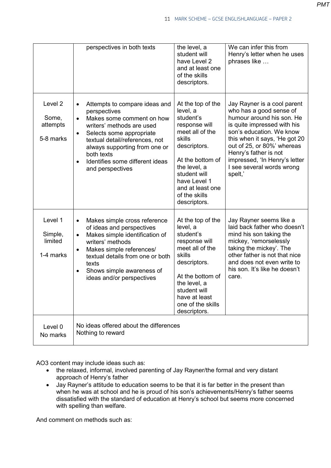|                                                      | perspectives in both texts                                                                                                                                                                                                                                                                                                      | the level, a<br>student will<br>have Level 2<br>and at least one<br>of the skills<br>descriptors.                                                                                                                                 | We can infer this from<br>Henry's letter when he uses<br>phrases like                                                                                                                                                                                                                                           |
|------------------------------------------------------|---------------------------------------------------------------------------------------------------------------------------------------------------------------------------------------------------------------------------------------------------------------------------------------------------------------------------------|-----------------------------------------------------------------------------------------------------------------------------------------------------------------------------------------------------------------------------------|-----------------------------------------------------------------------------------------------------------------------------------------------------------------------------------------------------------------------------------------------------------------------------------------------------------------|
| Level <sub>2</sub><br>Some,<br>attempts<br>5-8 marks | Attempts to compare ideas and<br>$\bullet$<br>perspectives<br>Makes some comment on how<br>$\bullet$<br>writers' methods are used<br>Selects some appropriate<br>$\bullet$<br>textual detail/references, not<br>always supporting from one or<br>both texts<br>Identifies some different ideas<br>$\bullet$<br>and perspectives | At the top of the<br>level, a<br>student's<br>response will<br>meet all of the<br>skills<br>descriptors.<br>At the bottom of<br>the level, a<br>student will<br>have Level 1<br>and at least one<br>of the skills<br>descriptors. | Jay Rayner is a cool parent<br>who has a good sense of<br>humour around his son. He<br>is quite impressed with his<br>son's education. We know<br>this when it says, 'He got 20<br>out of 25, or 80%' whereas<br>Henry's father is not<br>impressed, 'In Henry's letter<br>I see several words wrong<br>spelt,' |
| Level 1<br>Simple,<br>limited<br>1-4 marks           | Makes simple cross reference<br>$\bullet$<br>of ideas and perspectives<br>Makes simple identification of<br>$\bullet$<br>writers' methods<br>Makes simple references/<br>$\bullet$<br>textual details from one or both<br>texts<br>Shows simple awareness of<br>$\bullet$<br>ideas and/or perspectives                          | At the top of the<br>level, a<br>student's<br>response will<br>meet all of the<br>skills<br>descriptors.<br>At the bottom of<br>the level, a<br>student will<br>have at least<br>one of the skills<br>descriptors.                | Jay Rayner seems like a<br>laid back father who doesn't<br>mind his son taking the<br>mickey, 'remorselessly<br>taking the mickey'. The<br>other father is not that nice<br>and does not even write to<br>his son. It's like he doesn't<br>care.                                                                |
| Level 0<br>No marks                                  | No ideas offered about the differences<br>Nothing to reward                                                                                                                                                                                                                                                                     |                                                                                                                                                                                                                                   |                                                                                                                                                                                                                                                                                                                 |

AO3 content may include ideas such as:

- the relaxed, informal, involved parenting of Jay Rayner/the formal and very distant approach of Henry's father
- Jay Rayner's attitude to education seems to be that it is far better in the present than when he was at school and he is proud of his son's achievements/Henry's father seems dissatisfied with the standard of education at Henry's school but seems more concerned with spelling than welfare.

And comment on methods such as: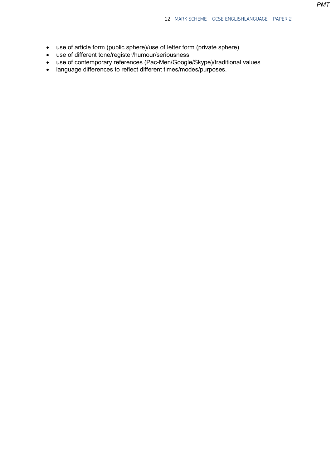- use of article form (public sphere)/use of letter form (private sphere)
- use of different tone/register/humour/seriousness
- use of contemporary references (Pac-Men/Google/Skype)/traditional values
- language differences to reflect different times/modes/purposes.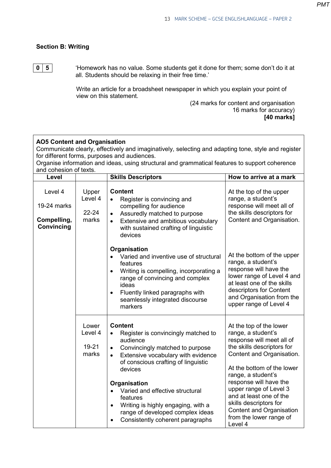## **Section B: Writing**

**0 5**

'Homework has no value. Some students get it done for them; some don't do it at all. Students should be relaxing in their free time.'

Write an article for a broadsheet newspaper in which you explain your point of view on this statement.

 (24 marks for content and organisation 16 marks for accuracy) **[40 marks]** 

| <b>AO5 Content and Organisation</b><br>Communicate clearly, effectively and imaginatively, selecting and adapting tone, style and register<br>for different forms, purposes and audiences.<br>Organise information and ideas, using structural and grammatical features to support coherence<br>and cohesion of texts. |                                        |                                                                                                                                                                                                                                                                                                                                                                                                                         |                                                                                                                                                                                                                                                                                                                                                                      |  |  |
|------------------------------------------------------------------------------------------------------------------------------------------------------------------------------------------------------------------------------------------------------------------------------------------------------------------------|----------------------------------------|-------------------------------------------------------------------------------------------------------------------------------------------------------------------------------------------------------------------------------------------------------------------------------------------------------------------------------------------------------------------------------------------------------------------------|----------------------------------------------------------------------------------------------------------------------------------------------------------------------------------------------------------------------------------------------------------------------------------------------------------------------------------------------------------------------|--|--|
| Level                                                                                                                                                                                                                                                                                                                  |                                        | <b>Skills Descriptors</b>                                                                                                                                                                                                                                                                                                                                                                                               | How to arrive at a mark                                                                                                                                                                                                                                                                                                                                              |  |  |
| Level 4<br>19-24 marks<br>Compelling,<br>Convincing                                                                                                                                                                                                                                                                    | Upper<br>Level 4<br>$22 - 24$<br>marks | <b>Content</b><br>Register is convincing and<br>$\bullet$<br>compelling for audience<br>Assuredly matched to purpose<br>Extensive and ambitious vocabulary<br>$\bullet$<br>with sustained crafting of linguistic<br>devices                                                                                                                                                                                             | At the top of the upper<br>range, a student's<br>response will meet all of<br>the skills descriptors for<br>Content and Organisation.                                                                                                                                                                                                                                |  |  |
|                                                                                                                                                                                                                                                                                                                        |                                        | Organisation<br>Varied and inventive use of structural<br>features<br>Writing is compelling, incorporating a<br>$\bullet$<br>range of convincing and complex<br>ideas<br>Fluently linked paragraphs with<br>$\bullet$<br>seamlessly integrated discourse<br>markers                                                                                                                                                     | At the bottom of the upper<br>range, a student's<br>response will have the<br>lower range of Level 4 and<br>at least one of the skills<br>descriptors for Content<br>and Organisation from the<br>upper range of Level 4                                                                                                                                             |  |  |
|                                                                                                                                                                                                                                                                                                                        | Lower<br>Level 4<br>19-21<br>marks     | <b>Content</b><br>Register is convincingly matched to<br>audience<br>Convincingly matched to purpose<br>$\bullet$<br>Extensive vocabulary with evidence<br>$\bullet$<br>of conscious crafting of linguistic<br>devices<br><b>Organisation</b><br>Varied and effective structural<br>features<br>Writing is highly engaging, with a<br>$\bullet$<br>range of developed complex ideas<br>Consistently coherent paragraphs | At the top of the lower<br>range, a student's<br>response will meet all of<br>the skills descriptors for<br>Content and Organisation.<br>At the bottom of the lower<br>range, a student's<br>response will have the<br>upper range of Level 3<br>and at least one of the<br>skills descriptors for<br>Content and Organisation<br>from the lower range of<br>Level 4 |  |  |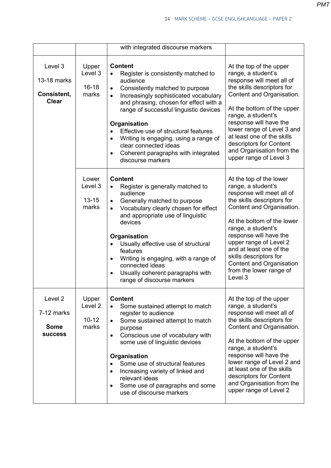|                                                        |                                                   | with integrated discourse markers                                                                                                                                                                                                                                                                                                                                                                                                                                                        |                                                                                                                                                                                                                                                                                                                                                                             |
|--------------------------------------------------------|---------------------------------------------------|------------------------------------------------------------------------------------------------------------------------------------------------------------------------------------------------------------------------------------------------------------------------------------------------------------------------------------------------------------------------------------------------------------------------------------------------------------------------------------------|-----------------------------------------------------------------------------------------------------------------------------------------------------------------------------------------------------------------------------------------------------------------------------------------------------------------------------------------------------------------------------|
| Level 3<br>13-18 marks<br>Consistent,<br><b>Clear</b>  | Upper<br>Level 3<br>$16 - 18$<br>marks            | <b>Content</b><br>Register is consistently matched to<br>audience<br>Consistently matched to purpose<br>$\bullet$<br>Increasingly sophisticated vocabulary<br>$\bullet$<br>and phrasing, chosen for effect with a<br>range of successful linguistic devices<br>Organisation<br>Effective use of structural features<br>$\bullet$<br>Writing is engaging, using a range of<br>$\bullet$<br>clear connected ideas<br>Coherent paragraphs with integrated<br>$\bullet$<br>discourse markers | At the top of the upper<br>range, a student's<br>response will meet all of<br>the skills descriptors for<br>Content and Organisation.<br>At the bottom of the upper<br>range, a student's<br>response will have the<br>lower range of Level 3 and<br>at least one of the skills<br>descriptors for Content<br>and Organisation from the<br>upper range of Level 3           |
|                                                        | Lower<br>Level 3<br>$13 - 15$<br>marks            | <b>Content</b><br>Register is generally matched to<br>audience<br>Generally matched to purpose<br>$\bullet$<br>Vocabulary clearly chosen for effect<br>$\bullet$<br>and appropriate use of linguistic<br>devices<br>Organisation<br>Usually effective use of structural<br>features<br>Writing is engaging, with a range of<br>$\bullet$<br>connected ideas<br>Usually coherent paragraphs with<br>$\bullet$<br>range of discourse markers                                               | At the top of the lower<br>range, a student's<br>response will meet all of<br>the skills descriptors for<br>Content and Organisation.<br>At the bottom of the lower<br>range, a student's<br>response will have the<br>upper range of Level 2<br>and at least one of the<br>skills descriptors for<br><b>Content and Organisation</b><br>from the lower range of<br>Level 3 |
| Level 2<br>7-12 marks<br><b>Some</b><br><b>SUCCESS</b> | Upper<br>Level <sub>2</sub><br>$10 - 12$<br>marks | <b>Content</b><br>Some sustained attempt to match<br>register to audience<br>Some sustained attempt to match<br>purpose<br>Conscious use of vocabulary with<br>$\bullet$<br>some use of linguistic devices<br>Organisation<br>Some use of structural features<br>Increasing variety of linked and<br>$\bullet$<br>relevant ideas<br>Some use of paragraphs and some<br>use of discourse markers                                                                                          | At the top of the upper<br>range, a student's<br>response will meet all of<br>the skills descriptors for<br>Content and Organisation.<br>At the bottom of the upper<br>range, a student's<br>response will have the<br>lower range of Level 2 and<br>at least one of the skills<br>descriptors for Content<br>and Organisation from the<br>upper range of Level 2           |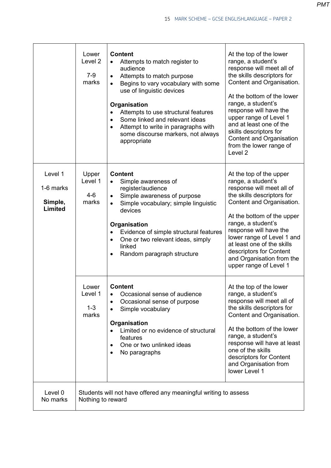|                                                   | Lower<br>Level <sub>2</sub><br>$7-9$<br>marks                                        | <b>Content</b><br>Attempts to match register to<br>$\bullet$<br>audience<br>Attempts to match purpose<br>Begins to vary vocabulary with some<br>use of linguistic devices<br>Organisation<br>Attempts to use structural features<br>$\bullet$<br>Some linked and relevant ideas<br>$\bullet$<br>Attempt to write in paragraphs with<br>$\bullet$<br>some discourse markers, not always<br>appropriate | At the top of the lower<br>range, a student's<br>response will meet all of<br>the skills descriptors for<br>Content and Organisation.<br>At the bottom of the lower<br>range, a student's<br>response will have the<br>upper range of Level 1<br>and at least one of the<br>skills descriptors for<br><b>Content and Organisation</b><br>from the lower range of<br>Level 2 |
|---------------------------------------------------|--------------------------------------------------------------------------------------|-------------------------------------------------------------------------------------------------------------------------------------------------------------------------------------------------------------------------------------------------------------------------------------------------------------------------------------------------------------------------------------------------------|-----------------------------------------------------------------------------------------------------------------------------------------------------------------------------------------------------------------------------------------------------------------------------------------------------------------------------------------------------------------------------|
| Level 1<br>1-6 marks<br>Simple,<br><b>Limited</b> | Upper<br>Level 1<br>$4-6$<br>marks                                                   | <b>Content</b><br>Simple awareness of<br>$\bullet$<br>register/audience<br>Simple awareness of purpose<br>Simple vocabulary; simple linguistic<br>devices<br>Organisation<br>Evidence of simple structural features<br>$\bullet$<br>One or two relevant ideas, simply<br>$\bullet$<br>linked<br>Random paragraph structure<br>$\bullet$                                                               | At the top of the upper<br>range, a student's<br>response will meet all of<br>the skills descriptors for<br>Content and Organisation.<br>At the bottom of the upper<br>range, a student's<br>response will have the<br>lower range of Level 1 and<br>at least one of the skills<br>descriptors for Content<br>and Organisation from the<br>upper range of Level 1           |
|                                                   | Lower<br>Level 1<br>$1 - 3$<br>marks                                                 | <b>Content</b><br>Occasional sense of audience<br>$\bullet$<br>Occasional sense of purpose<br>٠<br>Simple vocabulary<br>$\bullet$<br>Organisation<br>Limited or no evidence of structural<br>features<br>One or two unlinked ideas<br>$\bullet$<br>No paragraphs<br>$\bullet$                                                                                                                         | At the top of the lower<br>range, a student's<br>response will meet all of<br>the skills descriptors for<br>Content and Organisation.<br>At the bottom of the lower<br>range, a student's<br>response will have at least<br>one of the skills<br>descriptors for Content<br>and Organisation from<br>lower Level 1                                                          |
| Level 0<br>No marks                               | Students will not have offered any meaningful writing to assess<br>Nothing to reward |                                                                                                                                                                                                                                                                                                                                                                                                       |                                                                                                                                                                                                                                                                                                                                                                             |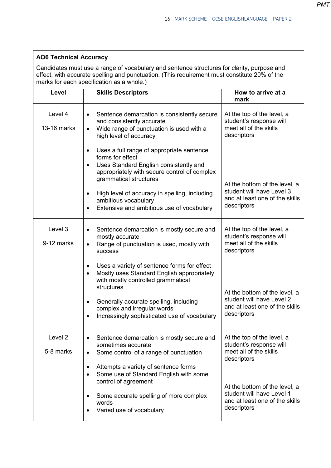## **AO6 Technical Accuracy**

Candidates must use a range of vocabulary and sentence structures for clarity, purpose and effect, with accurate spelling and punctuation. (This requirement must constitute 20% of the marks for each specification as a whole.)

| Level                  | <b>Skills Descriptors</b>                                                                                                                                                                                                                                                                                                                                                                                                                                                    | How to arrive at a<br>mark                                                                                                                                                                                    |
|------------------------|------------------------------------------------------------------------------------------------------------------------------------------------------------------------------------------------------------------------------------------------------------------------------------------------------------------------------------------------------------------------------------------------------------------------------------------------------------------------------|---------------------------------------------------------------------------------------------------------------------------------------------------------------------------------------------------------------|
| Level 4<br>13-16 marks | Sentence demarcation is consistently secure<br>$\bullet$<br>and consistently accurate<br>Wide range of punctuation is used with a<br>$\bullet$<br>high level of accuracy                                                                                                                                                                                                                                                                                                     | At the top of the level, a<br>student's response will<br>meet all of the skills<br>descriptors                                                                                                                |
|                        | Uses a full range of appropriate sentence<br>$\bullet$<br>forms for effect<br>Uses Standard English consistently and<br>$\bullet$<br>appropriately with secure control of complex<br>grammatical structures<br>High level of accuracy in spelling, including<br>$\bullet$<br>ambitious vocabulary<br>Extensive and ambitious use of vocabulary                                                                                                                               | At the bottom of the level, a<br>student will have Level 3<br>and at least one of the skills<br>descriptors                                                                                                   |
| Level 3<br>9-12 marks  | Sentence demarcation is mostly secure and<br>$\bullet$<br>mostly accurate<br>Range of punctuation is used, mostly with<br>$\bullet$<br>success<br>Uses a variety of sentence forms for effect<br>$\bullet$<br>Mostly uses Standard English appropriately<br>$\bullet$<br>with mostly controlled grammatical<br>structures<br>Generally accurate spelling, including<br>$\bullet$<br>complex and irregular words<br>Increasingly sophisticated use of vocabulary<br>$\bullet$ | At the top of the level, a<br>student's response will<br>meet all of the skills<br>descriptors<br>At the bottom of the level, a<br>student will have Level 2<br>and at least one of the skills<br>descriptors |
| Level 2<br>5-8 marks   | Sentence demarcation is mostly secure and<br>sometimes accurate<br>Some control of a range of punctuation<br>$\bullet$<br>Attempts a variety of sentence forms<br>$\bullet$<br>Some use of Standard English with some<br>$\bullet$<br>control of agreement<br>Some accurate spelling of more complex<br>٠<br>words<br>Varied use of vocabulary<br>$\bullet$                                                                                                                  | At the top of the level, a<br>student's response will<br>meet all of the skills<br>descriptors<br>At the bottom of the level, a<br>student will have Level 1<br>and at least one of the skills<br>descriptors |